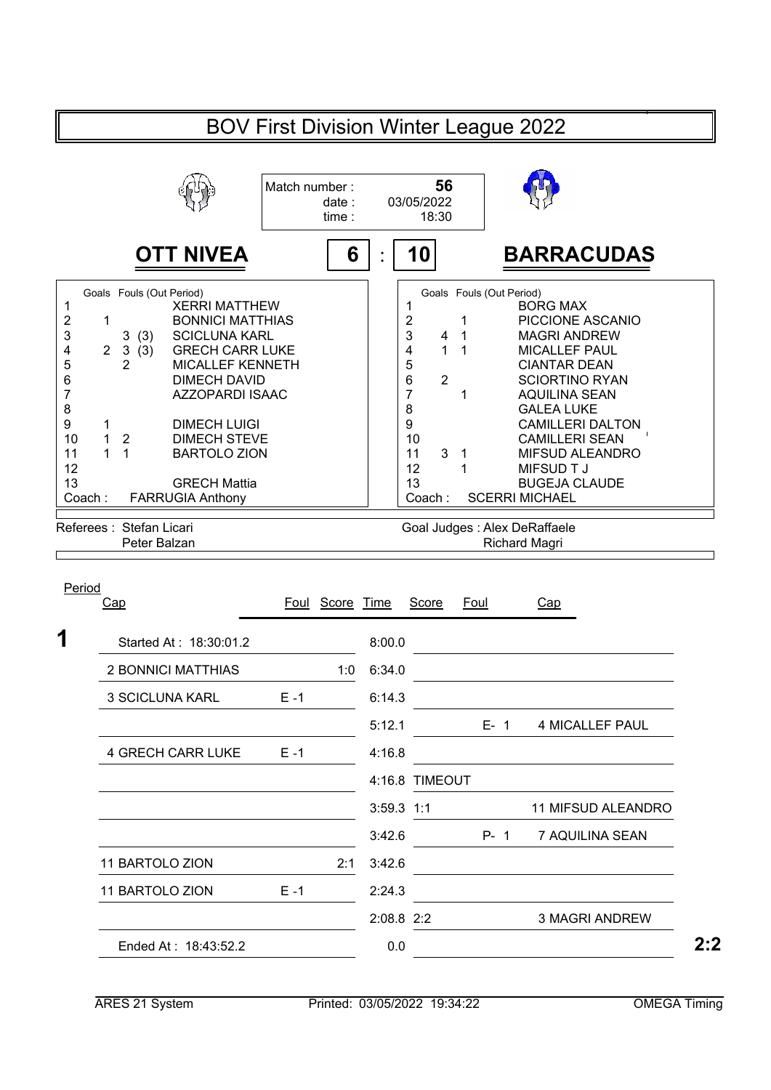## BOV First Division Winter League 2022 **56** 03/05/2022 18:30 **OTT NIVEA 6 1 6 110 BARRACUDAS** 1 XERRI MATTHEW 1 BORG MAX 2 1 BONNICI MATTHIAS | | 2 1 PICCIONE ASCANIO 3 3(3) SCICLUNA KARL MAGRI ANDREW 4 2 3(3) GRECH CARR LUKE | 4 1 1 MICALLEF PAUL 5 2 MICALLEF KENNETH | | 5 CIANTAR DEAN 6 2 SCIORTINO RYAN<br>7 1 AQUILINA SEAN AZZOPARDI ISAAC 1 AQUILINA SEAN 7 7 GALEA LUKE 1 DIMECH LUIGI | 9 CAMILLERI DALTON 1 2 DIMECH STEVE | 10 CAMILLERI SEAN 1 1 BARTOLO ZION 11 3 1 MIFSUD ALEANDRO<br>12 1 MIFSUD TJ 1 MIFSUD T J 13 BUGEJA CLAUDE<br>Coach : SCERRI MICHAEL Coach : FARRUGIA Anthony  $\vert$  | Coach : SCERRI MICHAEL Match number : date : time : : Goals Fouls (Out Period) Goals Fouls (Out Period) 6 DIMECH DAVID<br>7 AZZOPARDI ISA 8 8 9 1 DIMECH LUIGI 10 1 2 DIMECH STEVE 11 1 BARTOLO ZION  $12$  | 12 13 GRECH Mattia<br>Coach: FARRUGIA Anthony

Referees : Stefan Licari

Goal Judges : Alex DeRaffaele

Peter Balzan **Richard Magri** Richard Magri

| Period<br><u>Cap</u>     |         | Foul Score Time |              | Score          | <b>Foul</b> | Cap                    |
|--------------------------|---------|-----------------|--------------|----------------|-------------|------------------------|
| Started At: 18:30:01.2   |         |                 | 8:00.0       |                |             |                        |
| 2 BONNICI MATTHIAS       |         | 1:0             | 6:34.0       |                |             |                        |
|                          |         |                 |              |                |             |                        |
| 3 SCICLUNA KARL          | $E - 1$ |                 | 6:14.3       |                |             |                        |
|                          |         |                 | 5:12.1       |                | E-1         | <b>4 MICALLEF PAUL</b> |
| <b>4 GRECH CARR LUKE</b> | $E - 1$ |                 | 4:16.8       |                |             |                        |
|                          |         |                 |              | 4:16.8 TIMEOUT |             |                        |
|                          |         |                 | $3:59.3$ 1:1 |                |             | 11 MIFSUD ALEANDRO     |
|                          |         |                 | 3:42.6       |                | P- 1        | 7 AQUILINA SEAN        |
| 11 BARTOLO ZION          |         | 2:1             | 3:42.6       |                |             |                        |
| 11 BARTOLO ZION          | $E - 1$ |                 | 2:24.3       |                |             |                        |
|                          |         |                 | 2:08.8 2:2   |                |             | <b>3 MAGRI ANDREW</b>  |
| Ended At: 18:43:52.2     |         |                 | 0.0          |                |             |                        |
|                          |         |                 |              |                |             |                        |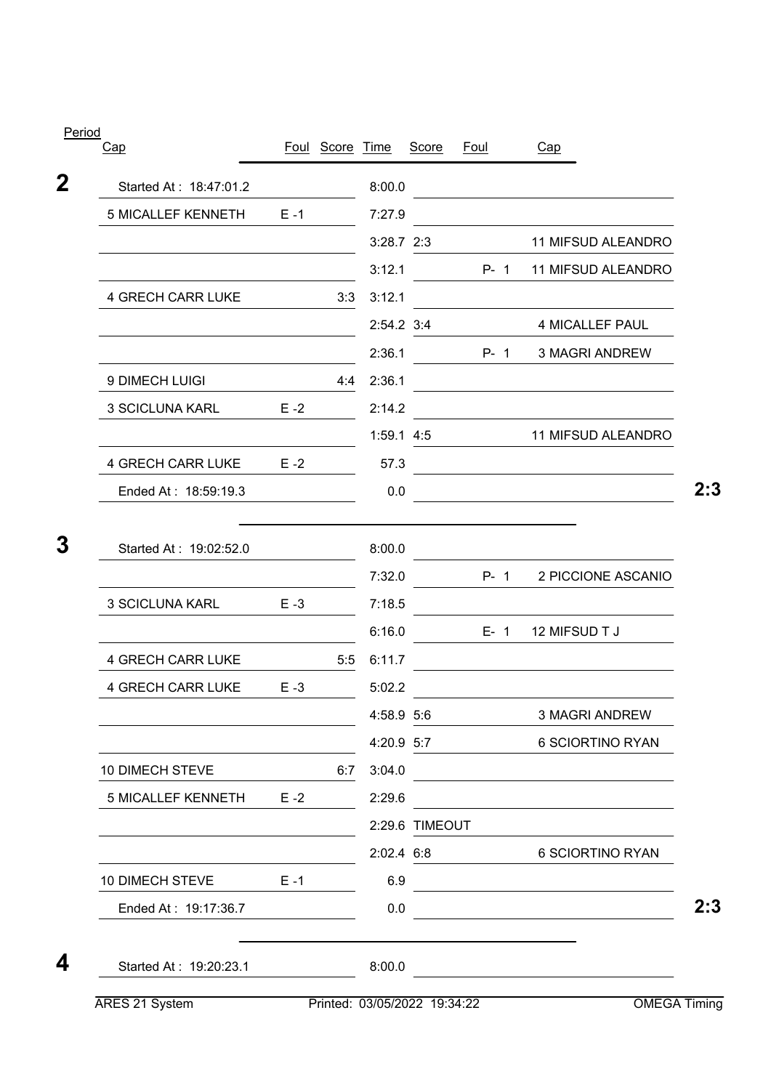|         |        | Score                                       |                                                                                                                                                                                                                                                                         |                | Cap                                                                                                                                                                                   |
|---------|--------|---------------------------------------------|-------------------------------------------------------------------------------------------------------------------------------------------------------------------------------------------------------------------------------------------------------------------------|----------------|---------------------------------------------------------------------------------------------------------------------------------------------------------------------------------------|
|         |        |                                             |                                                                                                                                                                                                                                                                         |                |                                                                                                                                                                                       |
| $E - 1$ |        |                                             |                                                                                                                                                                                                                                                                         |                |                                                                                                                                                                                       |
|         |        |                                             |                                                                                                                                                                                                                                                                         |                | 11 MIFSUD ALEANDRO                                                                                                                                                                    |
|         |        |                                             |                                                                                                                                                                                                                                                                         |                | 11 MIFSUD ALEANDRO                                                                                                                                                                    |
|         |        |                                             |                                                                                                                                                                                                                                                                         |                |                                                                                                                                                                                       |
|         |        |                                             |                                                                                                                                                                                                                                                                         |                | <b>4 MICALLEF PAUL</b>                                                                                                                                                                |
|         |        |                                             |                                                                                                                                                                                                                                                                         |                | <b>3 MAGRI ANDREW</b>                                                                                                                                                                 |
|         |        |                                             |                                                                                                                                                                                                                                                                         |                |                                                                                                                                                                                       |
| $E - 2$ |        |                                             |                                                                                                                                                                                                                                                                         |                |                                                                                                                                                                                       |
|         |        |                                             |                                                                                                                                                                                                                                                                         |                | 11 MIFSUD ALEANDRO                                                                                                                                                                    |
| $E - 2$ |        |                                             |                                                                                                                                                                                                                                                                         |                | <u> 1989 - Johann Barn, mars ann an t-Amhain Aonaich an t-Aonaich an t-Aonaich ann an t-Aonaich ann an t-Aonaich</u>                                                                  |
|         |        |                                             |                                                                                                                                                                                                                                                                         |                |                                                                                                                                                                                       |
|         |        |                                             |                                                                                                                                                                                                                                                                         |                |                                                                                                                                                                                       |
|         |        |                                             |                                                                                                                                                                                                                                                                         |                | 2 PICCIONE ASCANIO                                                                                                                                                                    |
| $E - 3$ |        |                                             |                                                                                                                                                                                                                                                                         |                |                                                                                                                                                                                       |
|         |        |                                             |                                                                                                                                                                                                                                                                         |                | 12 MIFSUD T J                                                                                                                                                                         |
|         |        |                                             |                                                                                                                                                                                                                                                                         |                |                                                                                                                                                                                       |
| $E - 3$ |        |                                             |                                                                                                                                                                                                                                                                         |                |                                                                                                                                                                                       |
|         |        |                                             |                                                                                                                                                                                                                                                                         |                | <b>3 MAGRI ANDREW</b>                                                                                                                                                                 |
|         |        |                                             |                                                                                                                                                                                                                                                                         |                | 6 SCIORTINO RYAN<br>6 SCIORTINO RYAN<br><u> 1989 - John Stein, mars and de Branch and de Branch and de Branch and de Branch and de Branch and de Branch an</u><br><b>OMEGA Timing</b> |
|         |        |                                             |                                                                                                                                                                                                                                                                         |                | <u> 1980 - Johann Barbara, martxa amerikan personal (</u>                                                                                                                             |
| $E - 2$ |        |                                             |                                                                                                                                                                                                                                                                         |                |                                                                                                                                                                                       |
|         |        |                                             |                                                                                                                                                                                                                                                                         |                |                                                                                                                                                                                       |
|         |        |                                             |                                                                                                                                                                                                                                                                         |                |                                                                                                                                                                                       |
| $E - 1$ |        |                                             |                                                                                                                                                                                                                                                                         |                |                                                                                                                                                                                       |
|         |        |                                             |                                                                                                                                                                                                                                                                         |                |                                                                                                                                                                                       |
|         | 8:00.0 |                                             |                                                                                                                                                                                                                                                                         |                |                                                                                                                                                                                       |
|         |        | Foul Score Time<br>3:3<br>4:4<br>5:5<br>6:7 | 8:00.0<br>7:27.9<br>$3:28.7$ 2:3<br>3:12.1<br>3:12.1<br>2:54.2 3:4<br>2:36.1<br>2:36.1<br>2:14.2<br>$1:59.1$ 4:5<br>57.3<br>0.0<br>8:00.0<br>7:32.0<br>7:18.5<br>6:16.0<br>6:11.7<br>5:02.2<br>4:58.9 5:6<br>4:20.9 5:7<br>3:04.0<br>2:29.6<br>2:02.4 6:8<br>6.9<br>0.0 | 2:29.6 TIMEOUT | Foul<br>$P - 1$<br>$P - 1$<br>$P - 1$<br>$E - 1$                                                                                                                                      |